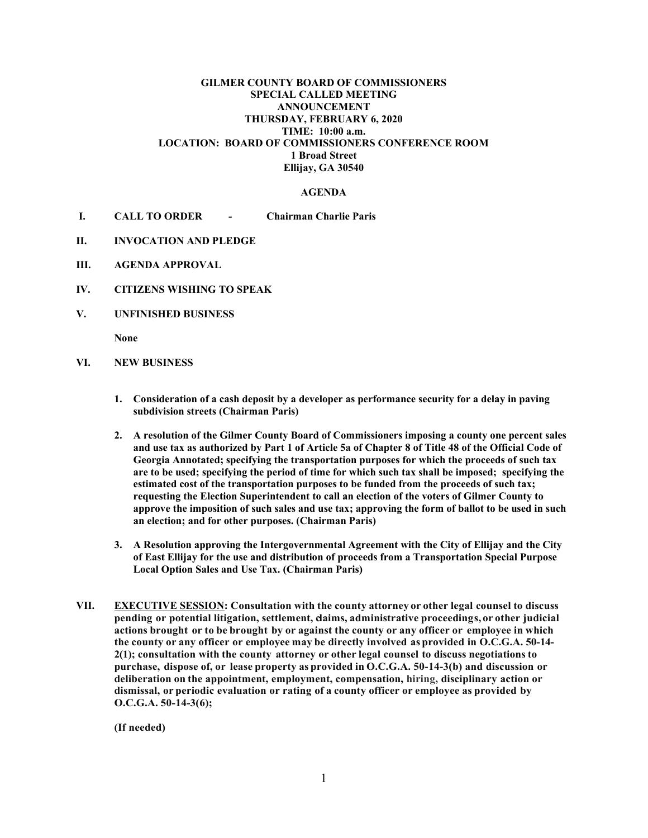## **GILMER COUNTY BOARD OF COMMISSIONERS SPECIAL CALLED MEETING ANNOUNCEMENT THURSDAY, FEBRUARY 6, 2020 TIME: 10:00 a.m. LOCATION: BOARD OF COMMISSIONERS CONFERENCE ROOM 1 Broad Street Ellijay, GA 30540**

## **AGENDA**

- **I. CALL TO ORDER - Chairman Charlie Paris**
- **II. INVOCATION AND PLEDGE**
- **III. AGENDA APPROVAL**
- **IV. CITIZENS WISHING TO SPEAK**
- **V. UNFINISHED BUSINESS**

**None**

- **VI. NEW BUSINESS**
	- **1. Consideration of a cash deposit by a developer as performance security for a delay in paving subdivision streets (Chairman Paris)**
	- **2. A resolution of the Gilmer County Board of Commissioners imposing a county one percent sales and use tax as authorized by Part 1 of Article 5a of Chapter 8 of Title 48 of the Official Code of Georgia Annotated; specifying the transportation purposes for which the proceeds of such tax are to be used; specifying the period of time for which such tax shall be imposed; specifying the estimated cost of the transportation purposes to be funded from the proceeds of such tax; requesting the Election Superintendent to call an election of the voters of Gilmer County to approve the imposition of such sales and use tax; approving the form of ballot to be used in such an election; and for other purposes. (Chairman Paris)**
	- **3. A Resolution approving the Intergovernmental Agreement with the City of Ellijay and the City of East Ellijay for the use and distribution of proceeds from a Transportation Special Purpose Local Option Sales and Use Tax. (Chairman Paris)**
- **VII. EXECUTIVE SESSION: Consultation with the county attorney or other legal counsel to discuss pending or potential litigation, settlement, claims, administrative proceedings, or other judicial actions brought or to be brought by or against the county or any officer or employee in which the county or any officer or employee may be directly involved as provided in O.C.G.A. 50-14- 2(1); consultation with the county attorney or other legal counsel to discuss negotiations to purchase, dispose of, or lease property as provided in O.C.G.A. 50-14-3(b) and discussion or deliberation on the appointment, employment, compensation, hiring, disciplinary action or dismissal, or periodic evaluation or rating of a county officer or employee as provided by O.C.G.A. 50-14-3(6);**

**(If needed)**